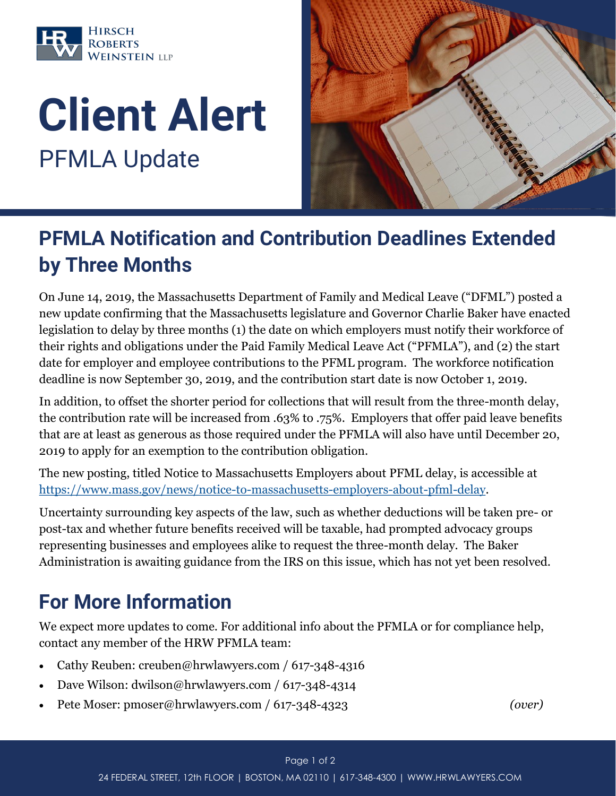

## Client Alert PFMLA Update



## PFMLA Notification and Contribution Deadlines Extended by Three Months

On June 14, 2019, the Massachusetts Department of Family and Medical Leave ("DFML") posted a new update confirming that the Massachusetts legislature and Governor Charlie Baker have enacted legislation to delay by three months (1) the date on which employers must notify their workforce of their rights and obligations under the Paid Family Medical Leave Act ("PFMLA"), and (2) the start date for employer and employee contributions to the PFML program. The workforce notification deadline is now September 30, 2019, and the contribution start date is now October 1, 2019.

In addition, to offset the shorter period for collections that will result from the three-month delay, the contribution rate will be increased from .63% to .75%. Employers that offer paid leave benefits that are at least as generous as those required under the PFMLA will also have until December 20, 2019 to apply for an exemption to the contribution obligation.

The new posting, titled Notice to Massachusetts Employers about PFML delay, is accessible at [https://www.mass.gov/news/notice-to-massachusetts-employers-about-pfml-delay.](https://www.mass.gov/news/notice-to-massachusetts-employers-about-pfml-delay)

Uncertainty surrounding key aspects of the law, such as whether deductions will be taken pre- or post-tax and whether future benefits received will be taxable, had prompted advocacy groups representing businesses and employees alike to request the three-month delay. The Baker Administration is awaiting guidance from the IRS on this issue, which has not yet been resolved.

## For More Information

We expect more updates to come. For additional info about the PFMLA or for compliance help, contact any member of the HRW PFMLA team:

- Cathy Reuben: creuben@hrwlawyers.com / 617-348-4316
- Dave Wilson: dwilson@hrwlawyers.com / 617-348-4314
- Pete Moser: pmoser@hrwlawyers.com / 617-348-4323 *(over)*

## Page 1 of 2

24 FEDERAL STREET, 12th FLOOR | BOSTON, MA 02110 | 617-348-4300 | WWW.HRWLAWYERS.COM